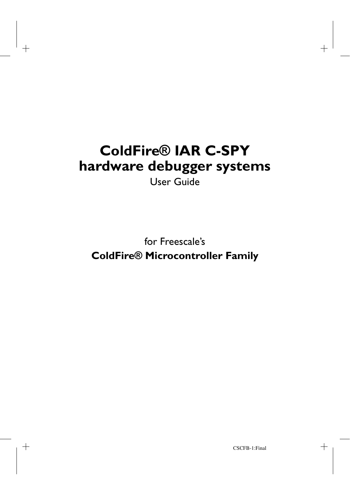# **ColdFire® IAR C-SPY hardware debugger systems** User Guide

for Freescale's **ColdFire® Microcontroller Family**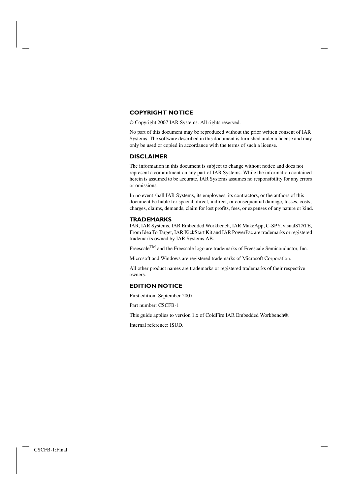# **COPYRIGHT NOTICE**

© Copyright 2007 IAR Systems. All rights reserved.

No part of this document may be reproduced without the prior written consent of IAR Systems. The software described in this document is furnished under a license and may only be used or copied in accordance with the terms of such a license.

#### **DISCLAIMER**

The information in this document is subject to change without notice and does not represent a commitment on any part of IAR Systems. While the information contained herein is assumed to be accurate, IAR Systems assumes no responsibility for any errors or omissions.

In no event shall IAR Systems, its employees, its contractors, or the authors of this document be liable for special, direct, indirect, or consequential damage, losses, costs, charges, claims, demands, claim for lost profits, fees, or expenses of any nature or kind.

#### **TRADEMARKS**

IAR, IAR Systems, IAR Embedded Workbench, IAR MakeApp, C-SPY, visualSTATE, From Idea To Target, IAR KickStart Kit and IAR PowerPac are trademarks or registered trademarks owned by IAR Systems AB.

 $F$ reescale $T^{\rm M}$  and the Freescale logo are trademarks of Freescale Semiconductor, Inc.

Microsoft and Windows are registered trademarks of Microsoft Corporation.

All other product names are trademarks or registered trademarks of their respective owners.

## **EDITION NOTICE**

First edition: September 2007

Part number: CSCFB-1

This guide applies to version 1.x of ColdFire IAR Embedded Workbench®.

Internal reference: ISUD.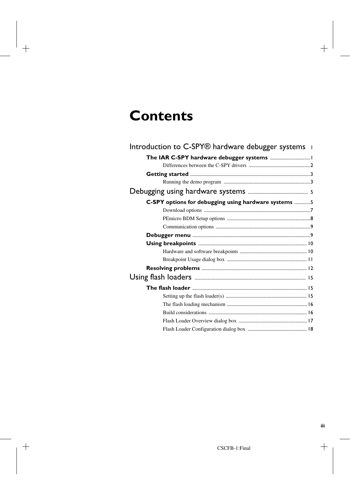# **Contents**

# Introduction to C-SPY® hardware debugger systems 1

| C-SPY options for debugging using hardware systems 5 |  |
|------------------------------------------------------|--|
|                                                      |  |
|                                                      |  |
|                                                      |  |
|                                                      |  |
|                                                      |  |
|                                                      |  |
|                                                      |  |
|                                                      |  |
|                                                      |  |
|                                                      |  |
|                                                      |  |
|                                                      |  |
|                                                      |  |
|                                                      |  |
|                                                      |  |
|                                                      |  |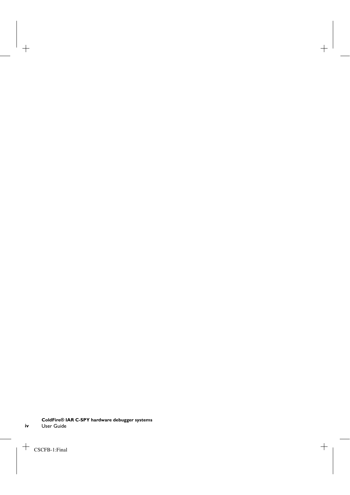**iv**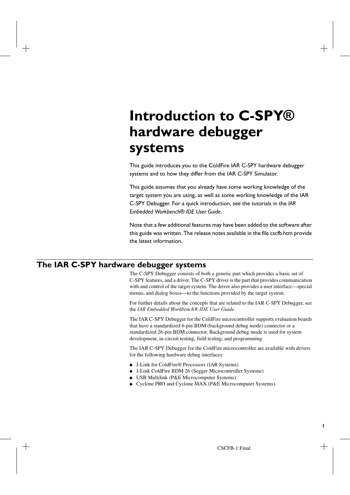# <span id="page-4-0"></span>**Introduction to C-SPY® hardware debugger systems**

This guide introduces you to the ColdFire IAR C-SPY hardware debugger systems and to how they differ from the IAR C-SPY Simulator.

This guide assumes that you already have some working knowledge of the target system you are using, as well as some working knowledge of the IAR C-SPY Debugger. For a quick introduction, see the tutorials in the *IAR Embedded Workbench® IDE User Guide*.

Note that a few additional features may have been added to the software after this guide was written. The release notes available in the file cscfb.htm provide the latest information.

# <span id="page-4-1"></span>**The IAR C-SPY hardware debugger systems**

The C-SPY Debugger consists of both a generic part which provides a basic set of C-SPY features, and a driver. The C-SPY driver is the part that provides communication with and control of the target system. The driver also provides a user interface—special menus, and dialog boxes—to the functions provided by the target system.

For further details about the concepts that are related to the IAR C-SPY Debugger, see the *IAR Embedded Workbench® IDE User Guide*.

The IAR C-SPY Debugger for the ColdFire microcontroller supports evaluation boards that have a standardized 6-pin BDM (background debug mode) connector or a standardized 26-pin BDM connector. Background debug mode is used for system development, in-circuit testing, field testing, and programming.

The IAR C-SPY Debugger for the ColdFire microcontroller are available with drivers for the following hardware debug interfaces:

- J-Link for ColdFire® Processors (IAR Systems)
- J-Link ColdFire BDM 26 (Segger Microcontroller Systeme)
- USB Multilink (P&E Microcomputer Systems)
- Cyclone PRO and Cyclone MAX (P&E Microcomputer Systems).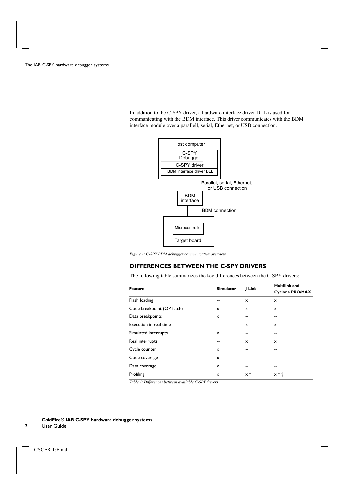In addition to the C-SPY driver, a hardware interface driver DLL is used for communicating with the BDM interface. This driver communicates with the BDM interface module over a parallell, serial, Ethernet, or USB connection.



*Figure 1: C-SPY BDM debugger communication overview*

# <span id="page-5-0"></span>**DIFFERENCES BETWEEN THE C-SPY DRIVERS**

The following table summarizes the key differences between the C-SPY drivers:

| Feature                    | <b>Simulator</b>          | J-Link | <b>Multilink and</b>   |
|----------------------------|---------------------------|--------|------------------------|
|                            |                           |        | <b>Cyclone PRO/MAX</b> |
| Flash loading              | --                        | x      | x                      |
| Code breakpoint (OP-fetch) | $\mathsf{x}$              | x      | x                      |
| Data breakpoints           | x                         | --     | --                     |
| Execution in real time     |                           | x      | x                      |
| Simulated interrupts       | x                         | --     | --                     |
| Real interrupts            | --                        | x      | x                      |
| Cycle counter              | x                         | --     | --                     |
| Code coverage              | $\boldsymbol{\mathsf{x}}$ | --     |                        |
| Data coverage              | x                         | --     | --                     |
| Profiling                  | $\boldsymbol{\mathsf{x}}$ | $x^*$  | $x * f$                |

*Table 1: Differences between available C-SPY drivers*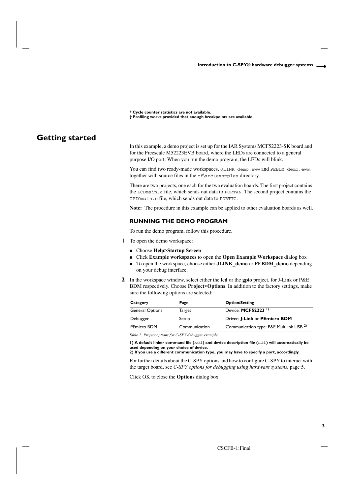**\* Cycle counter statistics are not available.**

**† Profiling works provided that enough breakpoints are available.**

# <span id="page-6-0"></span>**Getting started**

In this example, a demo project is set up for the IAR Systems MCF52223-SK board and for the Freescale M52223EVB board, where the LEDs are connected to a general purpose I/O port. When you run the demo program, the LEDs will blink.

You can find two ready-made workspaces, JLINK demo.eww and PEBDM demo.eww, together with source files in the cf\src\examples directory.

There are two projects, one each for the two evaluation boards. The first project contains the LCDmain.c file, which sends out data to PORTAN. The second project contains the GPIOmain.c file, which sends out data to PORTTC.

**Note:** The procedure in this example can be applied to other evaluation boards as well.

## <span id="page-6-1"></span>**RUNNING THE DEMO PROGRAM**

To run the demo program, follow this procedure.

- **1** To open the demo workspace:
	- Choose **Help>Startup Screen**
	- Click **Example workspaces** to open the **Open Example Workspace** dialog box
	- To open the workspace, choose either **JLINK\_demo** or **PEBDM\_demo** depending on your debug interface.
- **2** In the workspace window, select either the **lcd** or the **gpio** project, for J-Link or P&E BDM respectively. Choose **Project>Options**. In addition to the factory settings, make sure the following options are selected:

| Category               | Page          | <b>Option/Setting</b>                               |
|------------------------|---------------|-----------------------------------------------------|
| <b>General Options</b> | Target        | Device: MCF52223 <sup>1)</sup>                      |
| Debugger               | Setup         | Driver: J-Link or PEmicro BDM                       |
| PEmicro BDM            | Communication | Communication type: P&E Multilink USB <sup>2)</sup> |

*Table 2: Project options for C-SPY debugger example* 

**1) A default linker command file (**xcl**) and device description file (**ddf**) will automatically be used depending on your choice of device.**

**2) If you use a different communication type, you may have to specify a port, accordingly.**

For further details about the C-SPY options and how to configure C-SPY to interact with the target board, see *[C-SPY options for debugging using hardware systems](#page-8-2)*, page 5.

Click OK to close the **Options** dialog box.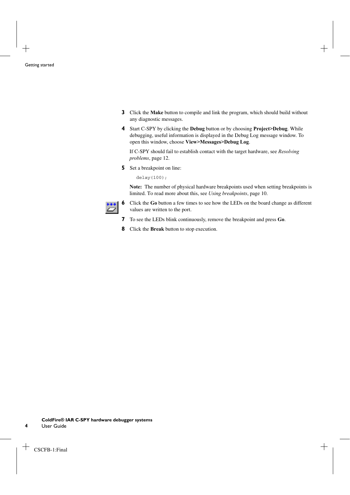- **3** Click the **Make** button to compile and link the program, which should build without any diagnostic messages.
- **4** Start C-SPY by clicking the **Debug** button or by choosing **Project>Debug**. While debugging, useful information is displayed in the Debug Log message window. To open this window, choose **View>Messages>Debug Log**.

If C-SPY should fail to establish contact with the target hardware, see *[Resolving](#page-15-1)  [problems](#page-15-1)*, page 12.

**5** Set a breakpoint on line:

delay(100);

**Note:** The number of physical hardware breakpoints used when setting breakpoints is limited. To read more about this, see *[Using breakpoints](#page-13-2)*, page 10.



- **6** Click the **Go** button a few times to see how the LEDs on the board change as different values are written to the port.
- **7** To see the LEDs blink continuously, remove the breakpoint and press **Go**.
- **8** Click the **Break** button to stop execution.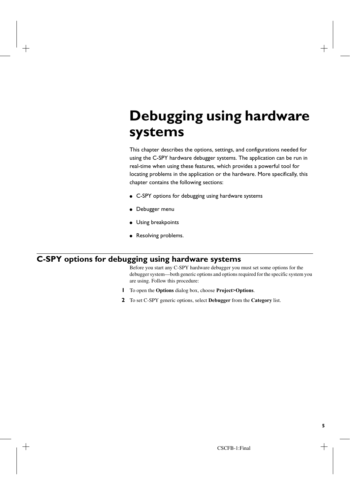# <span id="page-8-0"></span>**Debugging using hardware systems**

This chapter describes the options, settings, and configurations needed for using the C-SPY hardware debugger systems. The application can be run in real-time when using these features, which provides a powerful tool for locating problems in the application or the hardware. More specifically, this chapter contains the following sections:

- [C-SPY options for debugging using hardware systems](#page-8-1)
- [Debugger menu](#page-12-1)
- [Using breakpoints](#page-13-0)
- [Resolving problems.](#page-15-0)

# <span id="page-8-2"></span><span id="page-8-1"></span>**C-SPY options for debugging using hardware systems**

Before you start any C-SPY hardware debugger you must set some options for the debugger system—both generic options and options required for the specific system you are using. Follow this procedure:

- **1** To open the **Options** dialog box, choose **Project>Options**.
- **2** To set C-SPY generic options, select **Debugger** from the **Category** list.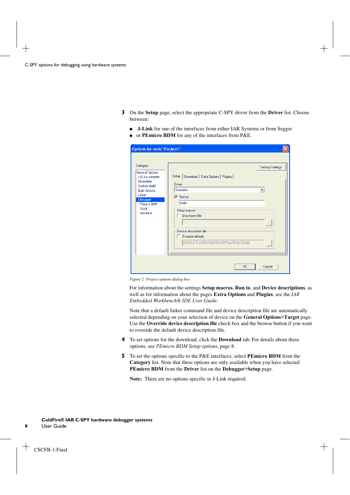- **3** On the **Setup** page, select the appropriate C-SPY driver from the **Driver** list. Choose between:
	- **J-Link** for one of the interfaces from either IAR Systems or from Segger
	- or **PEmicro BDM** for any of the interfaces from P&E.

| Options for node "Project1"                                                                                                                                                   |                                                                                                                                                                                                                                                                                                                                                              |
|-------------------------------------------------------------------------------------------------------------------------------------------------------------------------------|--------------------------------------------------------------------------------------------------------------------------------------------------------------------------------------------------------------------------------------------------------------------------------------------------------------------------------------------------------------|
| Category:<br>General Options<br>C/C++ compiler<br>Assembler<br><b>Custom Build</b><br><b>Build Actions</b><br>Linker<br><b>Debugger</b><br>PEmicro BDM<br>J-Link<br>Simulator | <b>Factory Settings</b><br>Setup   Download   Extra Options   Plugins  <br>Driver:<br>Simulator<br>$\overline{\phantom{a}}$<br>$\overline{\triangledown}$ Run to:<br>main<br>Setup macros-<br>$\Box$ Use macro file:<br>$\ldots$<br>Device description file<br>$\Box$ Override default:<br>\$TOOLKIT_DIR\$\CONFIG\DDF\iom51ge128.ddf<br>$\sim$ $\sim$ $\sim$ |
|                                                                                                                                                                               | <b>OK</b><br>Cancel                                                                                                                                                                                                                                                                                                                                          |

*Figure 2: Project options dialog box*

For information about the settings **Setup macros**, **Run to**, and **Device descriptions**, as well as for information about the pages **Extra Options** and **Plugins**, see the *IAR Embedded Workbench® IDE User Guide*.

Note that a default linker command file and device description file are automatically selected depending on your selection of device on the **General Options>Target** page. Use the **Override device description file** check box and the browse button if you want to override the default device description file.

- **4** To set options for the download, click the **Download** tab. For details about these options, see *[PEmicro BDM Setup options](#page-11-0)*, page 8.
- **5** To set the options specific to the P&E interfaces, select **PEmicro BDM** from the **Category** list. Note that these options are only available when you have selected **PEmicro BDM** from the **Driver** list on the **Debugger>Setup** page.

**Note:** There are no options specific to J-Link required.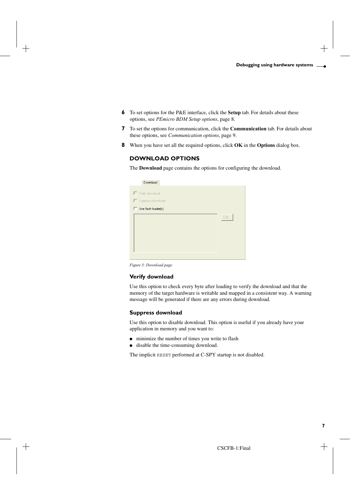- **6** To set options for the P&E interface, click the **Setup** tab. For details about these options, see *[PEmicro BDM Setup options](#page-11-0)*, page 8.
- **7** To set the options for communication, click the **Communication** tab. For details about these options, see *[Communication options](#page-12-0)*, page 9.
- **8** When you have set all the required options, click **OK** in the **Options** dialog box.

# <span id="page-10-0"></span>**DOWNLOAD OPTIONS**

The **Download** page contains the options for configuring the download.

| Download                                                           |      |
|--------------------------------------------------------------------|------|
| Verify download<br>Suppress download<br>$\Box$ Use flash loader(s) | Edit |
|                                                                    |      |

*Figure 3: Download page*

#### **Verify download**

Use this option to check every byte after loading to verify the download and that the memory of the target hardware is writable and mapped in a consistent way. A warning message will be generated if there are any errors during download.

#### **Suppress download**

Use this option to disable download. This option is useful if you already have your application in memory and you want to:

- minimize the number of times you write to flash
- disable the time-consuming download.

The implicit RESET performed at C-SPY startup is not disabled.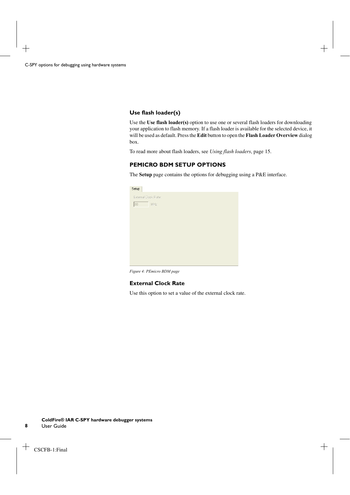# **Use flash loader(s)**

Use the **Use flash loader(s)** option to use one or several flash loaders for downloading your application to flash memory. If a flash loader is available for the selected device, it will be used as default. Press the **Edit** button to open the **Flash Loader Overview** dialog box.

To read more about flash loaders, see *[Using flash loaders](#page-18-3)*, page 15.

# <span id="page-11-0"></span>**PEMICRO BDM SETUP OPTIONS**

The **Setup** page contains the options for debugging using a P&E interface.

# Setup External Clock Rate:  $80$  MHz

*Figure 4: PEmicro BDM page*

## **External Clock Rate**

Use this option to set a value of the external clock rate.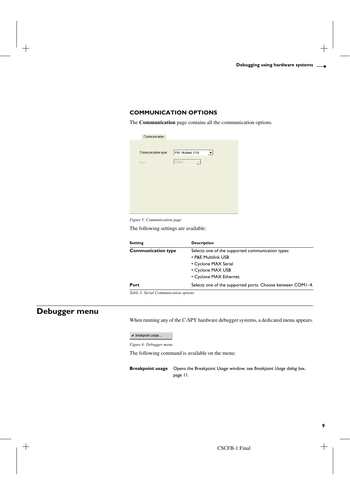# <span id="page-12-0"></span>**COMMUNICATION OPTIONS**

The **Communication** page contains all the communication options.

| Communication       |                   |  |
|---------------------|-------------------|--|
| Communication type: | P&E Multilink USB |  |
| Port:               | COM1              |  |
|                     |                   |  |
|                     |                   |  |
|                     |                   |  |
|                     |                   |  |

*Figure 5: Communication page*

The following settings are available:

| <b>Setting</b>            | <b>Description</b>                                                       |
|---------------------------|--------------------------------------------------------------------------|
| <b>Communication type</b> | Selects one of the supported communication types:<br>• P&E Multilink USB |
|                           | • Cyclone MAX Serial                                                     |
|                           | • Cyclone MAX USB<br>• Cyclone MAX Ethernet.                             |
| Port                      | Selects one of the supported ports. Choose between COM1-4.               |

*Table 3: Serial Communication options*

# <span id="page-12-1"></span>**Debugger menu**

When running any of the C-SPY hardware debugger systems, a dedicated menu appears.

 $\checkmark$  Breakpoint usage...

*Figure 6: Debugger menu*

The following command is available on the menu:

**Breakpoint usage** Opens the Breakpoint Usage window, see *[Breakpoint Usage dialog box](#page-14-0)*, [page 11.](#page-14-0)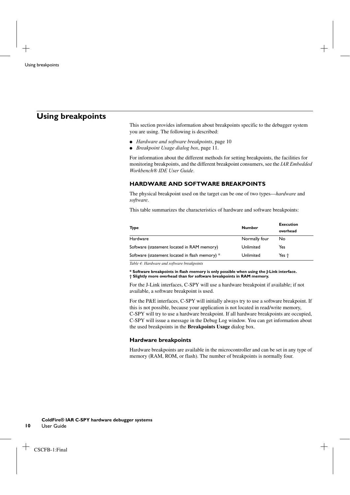# <span id="page-13-2"></span><span id="page-13-0"></span>**Using breakpoints**

This section provides information about breakpoints specific to the debugger system you are using. The following is described:

- *[Hardware and software breakpoints](#page-13-1)*, page 10
- *[Breakpoint Usage dialog box](#page-14-0)*, page 11.

For information about the different methods for setting breakpoints, the facilities for monitoring breakpoints, and the different breakpoint consumers, see the *IAR Embedded Workbench® IDE User Guide*.

# <span id="page-13-1"></span>**HARDWARE AND SOFTWARE BREAKPOINTS**

The physical breakpoint used on the target can be one of two types—*hardware* and *software*.

This table summarizes the characteristics of hardware and software breakpoints:

| Type                                           | <b>Number</b> | Execution<br>overhead |
|------------------------------------------------|---------------|-----------------------|
| Hardware                                       | Normally four | No                    |
| Software (statement located in RAM memory)     | Unlimited     | Yes                   |
| Software (statement located in flash memory) * | Unlimited     | Yes +                 |

*Table 4: Hardware and software breakpoints*

**\* Software breakpoints in flash memory is only possible when using the J-Link interface. † Slightly more overhead than for software breakpoints in RAM memory.**

For the J-Link interfaces, C-SPY will use a hardware breakpoint if available; if not available, a software breakpoint is used.

For the P&E interfaces, C-SPY will initially always try to use a software breakpoint. If this is not possible, because your application is not located in read/write memory, C-SPY will try to use a hardware breakpoint. If all hardware breakpoints are occupied, C-SPY will issue a message in the Debug Log window. You can get information about the used breakpoints in the **Breakpoints Usage** dialog box.

#### **Hardware breakpoints**

Hardware breakpoints are available in the microcontroller and can be set in any type of memory (RAM, ROM, or flash). The number of breakpoints is normally four.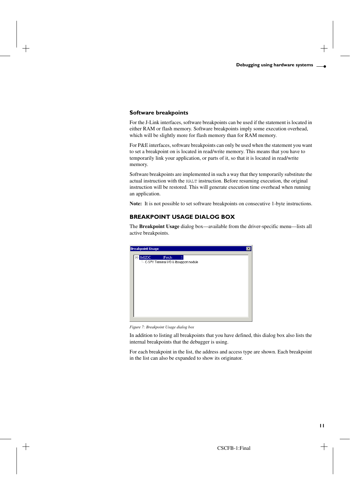#### **Software breakpoints**

For the J-Link interfaces, software breakpoints can be used if the statement is located in either RAM or flash memory. Software breakpoints imply some execution overhead, which will be slightly more for flash memory than for RAM memory.

For P&E interfaces, software breakpoints can only be used when the statement you want to set a breakpoint on is located in read/write memory. This means that you have to temporarily link your application, or parts of it, so that it is located in read/write memory.

Software breakpoints are implemented in such a way that they temporarily substitute the actual instruction with the HALT instruction. Before resuming execution, the original instruction will be restored. This will generate execution time overhead when running an application.

**Note:** It is not possible to set software breakpoints on consecutive 1-byte instructions.

## <span id="page-14-0"></span>**BREAKPOINT USAGE DIALOG BOX**

The **Breakpoint Usage** dialog box—available from the driver-specific menu—lists all active breakpoints.

| <b>Breakpoint Usage</b>                                                      |  |
|------------------------------------------------------------------------------|--|
| $\blacksquare$ 0x82DC<br>[Fetch]<br>- C-SPY Terminal I/O & libsupport module |  |
|                                                                              |  |
|                                                                              |  |
|                                                                              |  |
|                                                                              |  |

*Figure 7: Breakpoint Usage dialog box*

In addition to listing all breakpoints that you have defined, this dialog box also lists the internal breakpoints that the debugger is using.

For each breakpoint in the list, the address and access type are shown. Each breakpoint in the list can also be expanded to show its originator.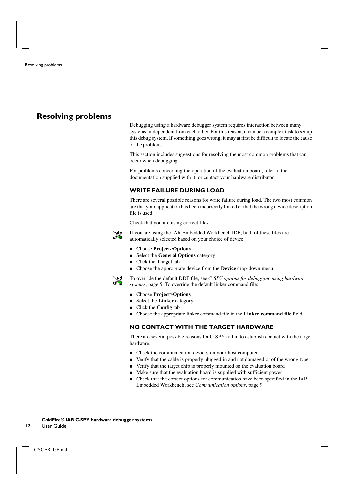# <span id="page-15-1"></span><span id="page-15-0"></span>**Resolving problems**

Debugging using a hardware debugger system requires interaction between many systems, independent from each other. For this reason, it can be a complex task to set up this debug system. If something goes wrong, it may at first be difficult to locate the cause of the problem.

This section includes suggestions for resolving the most common problems that can occur when debugging.

For problems concerning the operation of the evaluation board, refer to the documentation supplied with it, or contact your hardware distributor.

# **WRITE FAILURE DURING LOAD**

There are several possible reasons for write failure during load. The two most common are that your application has been incorrectly linked or that the wrong device description file is used.

Check that you are using correct files.



If you are using the IAR Embedded Workbench IDE, both of these files are automatically selected based on your choice of device:

- Choose **Project>Options**
- Select the **General Options** category
- Click the **Target** tab
- Choose the appropriate device from the **Device** drop-down menu.



To override the default DDF file, see *[C-SPY options for debugging using hardware](#page-8-1)  systems*[, page 5](#page-8-1). To override the default linker command file:

- Choose **Project>Options**
- Select the **Linker** category
- Click the **Config** tab
- Choose the appropriate linker command file in the **Linker command file** field.

# **NO CONTACT WITH THE TARGET HARDWARE**

There are several possible reasons for C-SPY to fail to establish contact with the target hardware.

- Check the communication devices on your host computer
- Verify that the cable is properly plugged in and not damaged or of the wrong type
- Verify that the target chip is properly mounted on the evaluation board
- Make sure that the evaluation board is supplied with sufficient power
- Check that the correct options for communication have been specified in the IAR Embedded Workbench; see *[Communication options](#page-12-0)*, page 9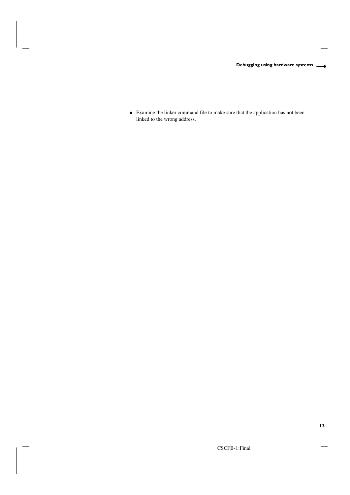● Examine the linker command file to make sure that the application has not been linked to the wrong address.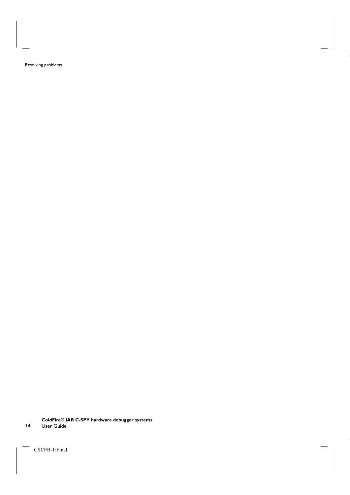Resolving problems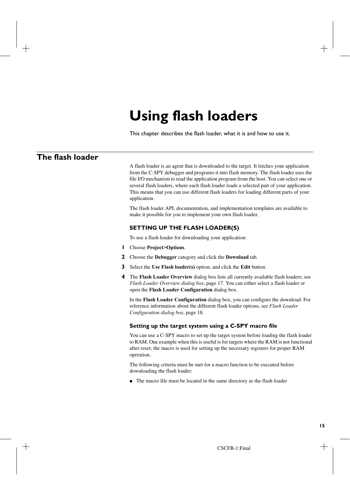# <span id="page-18-3"></span><span id="page-18-0"></span>**Using flash loaders**

This chapter describes the flash loader, what it is and how to use it.

# <span id="page-18-1"></span>**The flash loader**

A flash loader is an agent that is downloaded to the target. It fetches your application from the C-SPY debugger and programs it into flash memory. The flash loader uses the file I/O mechanism to read the application program from the host. You can select one or several flash loaders, where each flash loader loads a selected part of your application. This means that you can use different flash loaders for loading different parts of your application.

The flash loader API, documentation, and implementation templates are available to make it possible for you to implement your own flash loader.

# <span id="page-18-2"></span>**SETTING UP THE FLASH LOADER(S)**

To use a flash loader for downloading your application:

- **1** Choose **Project>Options**.
- **2** Choose the **Debugger** category and click the **Download** tab.
- **3** Select the **Use Flash loader(s)** option, and click the **Edit** button.
- **4** The **Flash Loader Overview** dialog box lists all currently available flash loaders; see *[Flash Loader Overview dialog box](#page-20-0)*, page 17. You can either select a flash loader or open the **Flash Loader Configuration** dialog box.

In the **Flash Loader Configuration** dialog box, you can configure the download. For reference information about the different flash loader options, see *[Flash Loader](#page-21-0)  [Configuration dialog box](#page-21-0)*, page 18.

# **Setting up the target system using a C-SPY macro file**

You can use a C-SPY macro to set up the target system before loading the flash loader to RAM. One example when this is useful is for targets where the RAM is not functional after reset; the macro is used for setting up the necessary registers for proper RAM operation.

The following criteria must be met for a macro function to be executed before downloading the flash loader:

● The macro file must be located in the same directory as the flash loader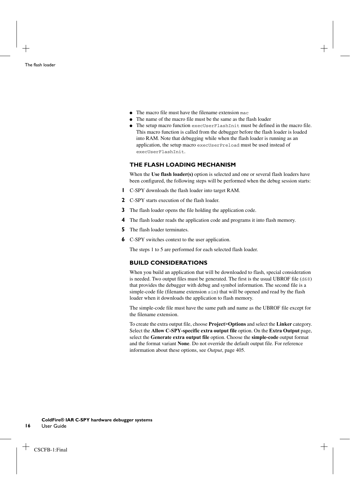- $\bullet$  The macro file must have the filename extension mac
- The name of the macro file must be the same as the flash loader
- The setup macro function execUserFlashInit must be defined in the macro file. This macro function is called from the debugger before the flash loader is loaded into RAM. Note that debugging while when the flash loader is running as an application, the setup macro execUserPreload must be used instead of execUserFlashInit.

## <span id="page-19-0"></span>**THE FLASH LOADING MECHANISM**

When the **Use flash loader(s)** option is selected and one or several flash loaders have been configured, the following steps will be performed when the debug session starts:

- **1** C-SPY downloads the flash loader into target RAM.
- **2** C-SPY starts execution of the flash loader.
- **3** The flash loader opens the file holding the application code.
- **4** The flash loader reads the application code and programs it into flash memory.
- **5** The flash loader terminates.
- **6** C-SPY switches context to the user application.

The steps 1 to 5 are performed for each selected flash loader.

## <span id="page-19-1"></span>**BUILD CONSIDERATIONS**

When you build an application that will be downloaded to flash, special consideration is needed. Two output files must be generated. The first is the usual UBROF file (d68) that provides the debugger with debug and symbol information. The second file is a simple-code file (filename extension sim) that will be opened and read by the flash loader when it downloads the application to flash memory.

The simple-code file must have the same path and name as the UBROF file except for the filename extension.

To create the extra output file, choose **Project>Options** and select the **Linker** category. Select the **Allow C-SPY-specific extra output file** option. On the **Extra Output** page, select the **Generate extra output file** option. Choose the **simple-code** output format and the format variant **None**. Do not override the default output file. For reference information about these options, see *Output*, page 405.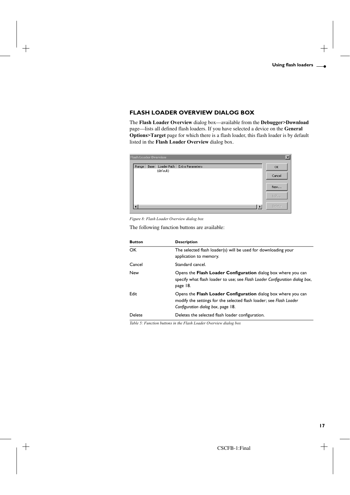# <span id="page-20-0"></span>**FLASH LOADER OVERVIEW DIALOG BOX**

The **Flash Loader Overview** dialog box—available from the **Debugger>Download** page—lists all defined flash loaders. If you have selected a device on the **General Options>Target** page for which there is a flash loader, this flash loader is by default listed in the **Flash Loader Overview** dialog box.

|       | <b>Flash Loader Overview</b> |                                | $\vert x \vert$     |
|-------|------------------------------|--------------------------------|---------------------|
| Range | Base<br>(default)            | Loader Path   Extra Parameters | OK                  |
|       |                              |                                | Cancel              |
|       |                              |                                | New                 |
|       |                              |                                | Edit                |
|       |                              |                                | <b>Delete</b><br>Ч. |

*Figure 8: Flash Loader Overview dialog box*

The following function buttons are available:

| <b>Button</b> | <b>Description</b>                                                                                                                                                         |
|---------------|----------------------------------------------------------------------------------------------------------------------------------------------------------------------------|
| OK.           | The selected flash loader(s) will be used for downloading your<br>application to memory.                                                                                   |
| Cancel        | Standard cancel.                                                                                                                                                           |
| New           | Opens the <b>Flash Loader Configuration</b> dialog box where you can<br>specify what flash loader to use; see Flash Loader Configuration dialog box,<br>page 18.           |
| Edit          | Opens the Flash Loader Configuration dialog box where you can<br>modify the settings for the selected flash loader; see Flash Loader<br>Configuration dialog box, page 18. |
| Delete        | Deletes the selected flash loader configuration.                                                                                                                           |

*Table 5: Function buttons in the Flash Loader Overview dialog box*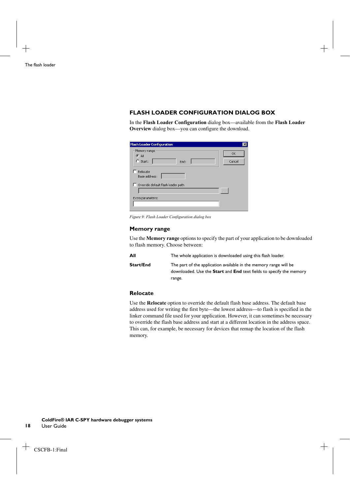# <span id="page-21-0"></span>**FLASH LOADER CONFIGURATION DIALOG BOX**

In the **Flash Loader Configuration** dialog box—available from the **Flash Loader Overview** dialog box—you can configure the download.

| <b>Flash Loader Configuration</b>           | ×            |
|---------------------------------------------|--------------|
| Memory range<br>$G$ All<br>C Start:<br>End: | OK<br>Cancel |
| Relocate<br>Base address:                   |              |
| Override default flash loader path          |              |
|                                             |              |
| Extra parameters:                           |              |
|                                             |              |

*Figure 9: Flash Loader Configuration dialog box*

#### **Memory range**

Use the **Memory range** options to specify the part of your application to be downloaded to flash memory. Choose between:

| Αll       | The whole application is downloaded using this flash loader.                                                                                       |
|-----------|----------------------------------------------------------------------------------------------------------------------------------------------------|
| Start/End | The part of the application available in the memory range will be<br>downloaded. Use the Start and End text fields to specify the memory<br>range. |

# **Relocate**

Use the **Relocate** option to override the default flash base address. The default base address used for writing the first byte—the lowest address—to flash is specified in the linker command file used for your application. However, it can sometimes be necessary to override the flash base address and start at a different location in the address space. This can, for example, be necessary for devices that remap the location of the flash memory.